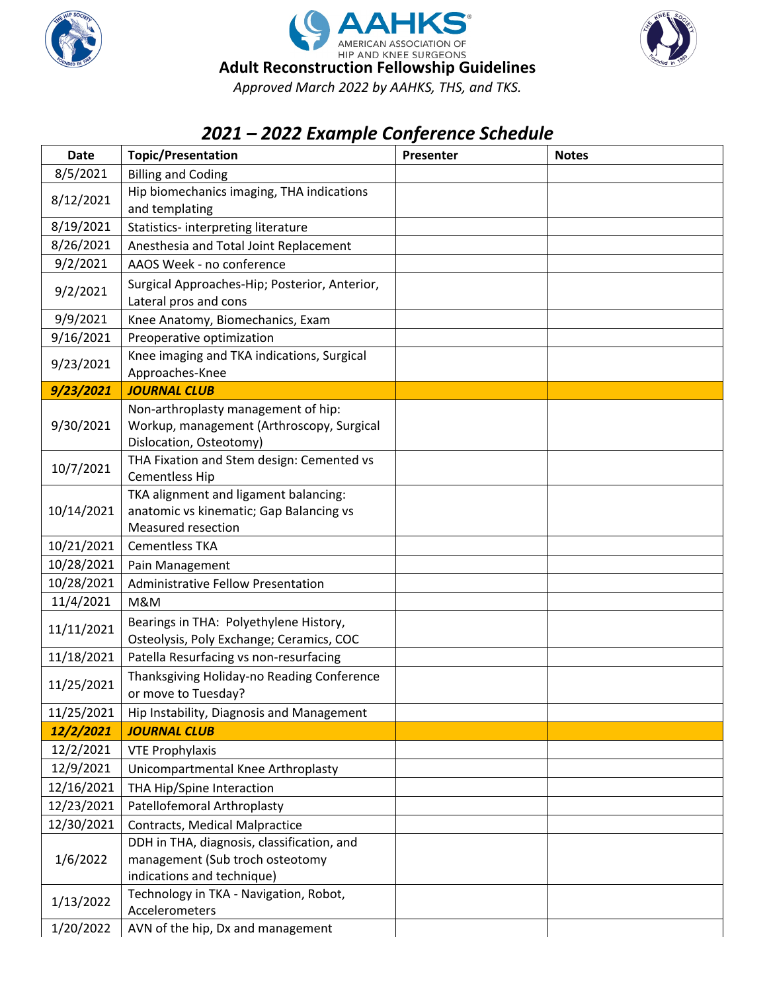





## *2021 – 2022 Example Conference Schedule*

| <b>Date</b> | <b>Topic/Presentation</b>                                                          | Presenter | <b>Notes</b> |
|-------------|------------------------------------------------------------------------------------|-----------|--------------|
| 8/5/2021    | <b>Billing and Coding</b>                                                          |           |              |
| 8/12/2021   | Hip biomechanics imaging, THA indications                                          |           |              |
|             | and templating                                                                     |           |              |
| 8/19/2021   | Statistics- interpreting literature                                                |           |              |
| 8/26/2021   | Anesthesia and Total Joint Replacement                                             |           |              |
| 9/2/2021    | AAOS Week - no conference                                                          |           |              |
| 9/2/2021    | Surgical Approaches-Hip; Posterior, Anterior,<br>Lateral pros and cons             |           |              |
| 9/9/2021    | Knee Anatomy, Biomechanics, Exam                                                   |           |              |
| 9/16/2021   | Preoperative optimization                                                          |           |              |
| 9/23/2021   | Knee imaging and TKA indications, Surgical<br>Approaches-Knee                      |           |              |
| 9/23/2021   | <b>JOURNAL CLUB</b>                                                                |           |              |
| 9/30/2021   | Non-arthroplasty management of hip:                                                |           |              |
|             | Workup, management (Arthroscopy, Surgical                                          |           |              |
|             | Dislocation, Osteotomy)                                                            |           |              |
| 10/7/2021   | THA Fixation and Stem design: Cemented vs<br><b>Cementless Hip</b>                 |           |              |
| 10/14/2021  | TKA alignment and ligament balancing:                                              |           |              |
|             | anatomic vs kinematic; Gap Balancing vs                                            |           |              |
|             | <b>Measured resection</b>                                                          |           |              |
| 10/21/2021  | <b>Cementless TKA</b>                                                              |           |              |
| 10/28/2021  | Pain Management                                                                    |           |              |
| 10/28/2021  | <b>Administrative Fellow Presentation</b>                                          |           |              |
| 11/4/2021   | M&M                                                                                |           |              |
| 11/11/2021  | Bearings in THA: Polyethylene History,<br>Osteolysis, Poly Exchange; Ceramics, COC |           |              |
| 11/18/2021  | Patella Resurfacing vs non-resurfacing                                             |           |              |
| 11/25/2021  | Thanksgiving Holiday-no Reading Conference<br>or move to Tuesday?                  |           |              |
| 11/25/2021  | Hip Instability, Diagnosis and Management                                          |           |              |
| 12/2/2021   | <b>JOURNAL CLUB</b>                                                                |           |              |
| 12/2/2021   | <b>VTE Prophylaxis</b>                                                             |           |              |
| 12/9/2021   | Unicompartmental Knee Arthroplasty                                                 |           |              |
| 12/16/2021  | THA Hip/Spine Interaction                                                          |           |              |
| 12/23/2021  | Patellofemoral Arthroplasty                                                        |           |              |
| 12/30/2021  | <b>Contracts, Medical Malpractice</b>                                              |           |              |
| 1/6/2022    | DDH in THA, diagnosis, classification, and                                         |           |              |
|             | management (Sub troch osteotomy                                                    |           |              |
|             | indications and technique)                                                         |           |              |
| 1/13/2022   | Technology in TKA - Navigation, Robot,<br>Accelerometers                           |           |              |
| 1/20/2022   | AVN of the hip, Dx and management                                                  |           |              |